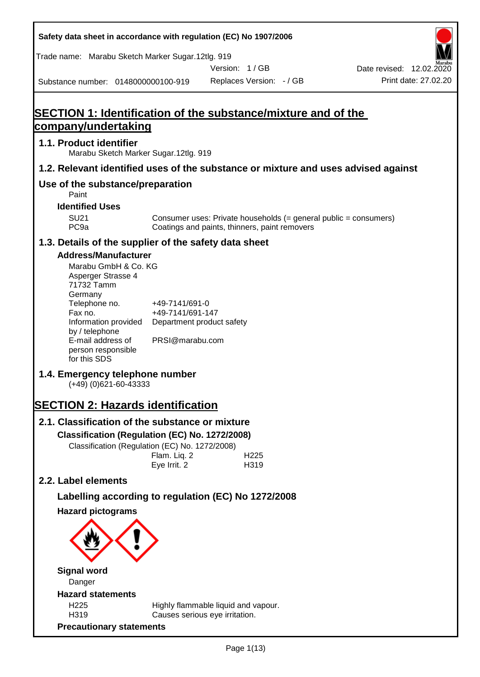**Safety data sheet in accordance with regulation (EC) No 1907/2006** Substance number: 0148000000100-919 Version: 1 / GB Replaces Version: - / GB Print date: 27.02.20 Date revised: 12.02.2020 Trade name: Marabu Sketch Marker Sugar.12tlg. 919 **SECTION 1: Identification of the substance/mixture and of the company/undertaking 1.1. Product identifier** Marabu Sketch Marker Sugar.12tlg. 919 **1.2. Relevant identified uses of the substance or mixture and uses advised against Use of the substance/preparation** Paint **Identified Uses** SU21 Consumer uses: Private households (= general public = consumers)<br>PC9a Coatings and paints, thinners, paint removers Coatings and paints, thinners, paint removers **1.3. Details of the supplier of the safety data sheet Address/Manufacturer** Marabu GmbH & Co. KG Asperger Strasse 4 71732 Tamm **Germany** Telephone no. +49-7141/691-0 Fax no.  $+49-7141/691-147$ Information provided Department product safety by / telephone E-mail address of person responsible for this SDS PRSI@marabu.com **1.4. Emergency telephone number** (+49) (0)621-60-43333 **SECTION 2: Hazards identification 2.1. Classification of the substance or mixture Classification (Regulation (EC) No. 1272/2008)** Classification (Regulation (EC) No. 1272/2008) Flam. Liq. 2 H225 Eye Irrit. 2 H319 **2.2. Label elements Labelling according to regulation (EC) No 1272/2008 Hazard pictograms Signal word** Danger **Hazard statements** H225 Highly flammable liquid and vapour. H319 Causes serious eye irritation. **Precautionary statements**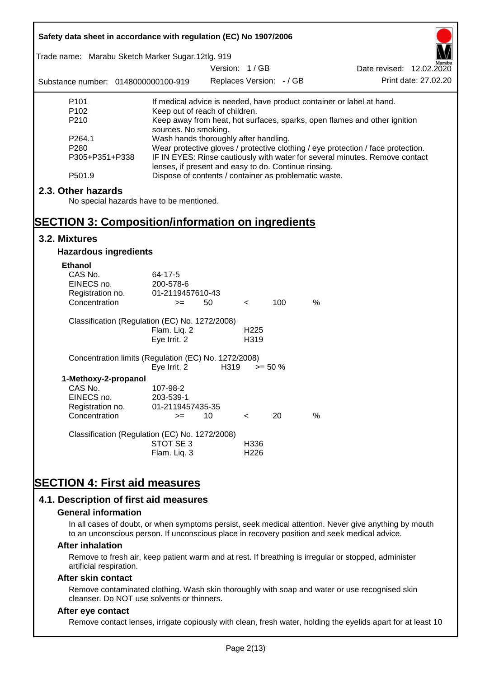| Safety data sheet in accordance with regulation (EC) No 1907/2006 |                                                                                                               |                          |                  |            |      |                                                                             |  |
|-------------------------------------------------------------------|---------------------------------------------------------------------------------------------------------------|--------------------------|------------------|------------|------|-----------------------------------------------------------------------------|--|
| Trade name: Marabu Sketch Marker Sugar.12tlg. 919                 |                                                                                                               |                          |                  |            |      |                                                                             |  |
|                                                                   |                                                                                                               | Version: 1/GB            |                  |            |      | Date revised: 12.02.2020                                                    |  |
| Substance number: 0148000000100-919                               |                                                                                                               | Replaces Version: - / GB |                  |            |      | Print date: 27.02.20                                                        |  |
| P <sub>101</sub>                                                  | If medical advice is needed, have product container or label at hand.                                         |                          |                  |            |      |                                                                             |  |
| P <sub>102</sub><br>P210                                          | Keep out of reach of children.                                                                                |                          |                  |            |      |                                                                             |  |
|                                                                   | sources. No smoking.                                                                                          |                          |                  |            |      | Keep away from heat, hot surfaces, sparks, open flames and other ignition   |  |
| P264.1                                                            | Wash hands thoroughly after handling.                                                                         |                          |                  |            |      |                                                                             |  |
| P <sub>280</sub>                                                  | Wear protective gloves / protective clothing / eye protection / face protection.                              |                          |                  |            |      |                                                                             |  |
| P305+P351+P338                                                    |                                                                                                               |                          |                  |            |      | IF IN EYES: Rinse cautiously with water for several minutes. Remove contact |  |
| P501.9                                                            | lenses, if present and easy to do. Continue rinsing.<br>Dispose of contents / container as problematic waste. |                          |                  |            |      |                                                                             |  |
| 2.3. Other hazards                                                |                                                                                                               |                          |                  |            |      |                                                                             |  |
| No special hazards have to be mentioned.                          |                                                                                                               |                          |                  |            |      |                                                                             |  |
| <b>SECTION 3: Composition/information on ingredients</b>          |                                                                                                               |                          |                  |            |      |                                                                             |  |
| 3.2. Mixtures                                                     |                                                                                                               |                          |                  |            |      |                                                                             |  |
| <b>Hazardous ingredients</b>                                      |                                                                                                               |                          |                  |            |      |                                                                             |  |
| <b>Ethanol</b>                                                    |                                                                                                               |                          |                  |            |      |                                                                             |  |
| CAS No.                                                           | 64-17-5                                                                                                       |                          |                  |            |      |                                                                             |  |
| EINECS no.                                                        | 200-578-6                                                                                                     |                          |                  |            |      |                                                                             |  |
| Registration no.                                                  | 01-2119457610-43                                                                                              |                          |                  |            |      |                                                                             |  |
| Concentration                                                     | $>=$                                                                                                          | 50                       | $\,<\,$          | 100        | $\%$ |                                                                             |  |
| Classification (Regulation (EC) No. 1272/2008)                    |                                                                                                               |                          |                  |            |      |                                                                             |  |
|                                                                   | Flam. Liq. 2                                                                                                  |                          | H <sub>225</sub> |            |      |                                                                             |  |
|                                                                   | Eye Irrit. 2                                                                                                  |                          | H319             |            |      |                                                                             |  |
| Concentration limits (Regulation (EC) No. 1272/2008)              |                                                                                                               |                          |                  |            |      |                                                                             |  |
|                                                                   | Eye Irrit. 2                                                                                                  | H319                     |                  | $>= 50 \%$ |      |                                                                             |  |
| 1-Methoxy-2-propanol                                              |                                                                                                               |                          |                  |            |      |                                                                             |  |
| CAS No.<br>EINECS no.                                             | 107-98-2<br>203-539-1                                                                                         |                          |                  |            |      |                                                                             |  |
| Registration no.                                                  | 01-2119457435-35                                                                                              |                          |                  |            |      |                                                                             |  |
| Concentration                                                     | $>=$                                                                                                          | 10                       | $\,<\,$          | 20         | %    |                                                                             |  |
| Classification (Regulation (EC) No. 1272/2008)                    |                                                                                                               |                          |                  |            |      |                                                                             |  |
|                                                                   | STOT SE3                                                                                                      |                          | H336             |            |      |                                                                             |  |
|                                                                   | Flam. Liq. 3                                                                                                  |                          | H <sub>226</sub> |            |      |                                                                             |  |
|                                                                   |                                                                                                               |                          |                  |            |      |                                                                             |  |
| <b>SECTION 4: First aid measures</b>                              |                                                                                                               |                          |                  |            |      |                                                                             |  |
| 4.1. Description of first aid measures                            |                                                                                                               |                          |                  |            |      |                                                                             |  |

#### **General information**

In all cases of doubt, or when symptoms persist, seek medical attention. Never give anything by mouth to an unconscious person. If unconscious place in recovery position and seek medical advice.

#### **After inhalation**

Remove to fresh air, keep patient warm and at rest. If breathing is irregular or stopped, administer artificial respiration.

#### **After skin contact**

Remove contaminated clothing. Wash skin thoroughly with soap and water or use recognised skin cleanser. Do NOT use solvents or thinners.

## **After eye contact**

Remove contact lenses, irrigate copiously with clean, fresh water, holding the eyelids apart for at least 10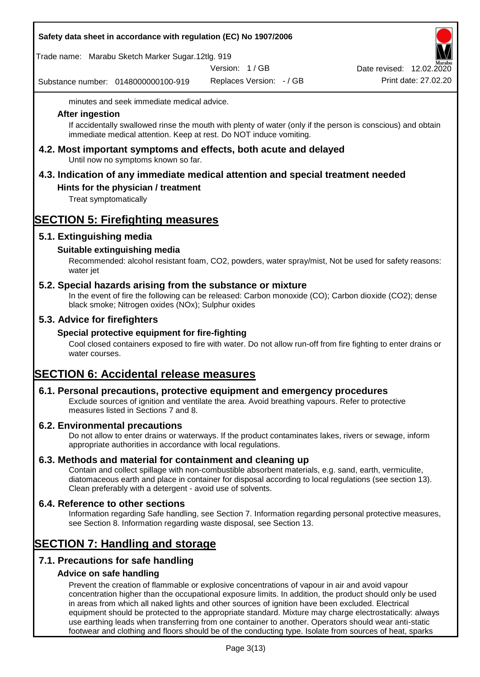## **Safety data sheet in accordance with regulation (EC) No 1907/2006**

Trade name: Marabu Sketch Marker Sugar.12tlg. 919

Version: 1 / GB

Substance number: 0148000000100-919

Replaces Version: - / GB Print date: 27.02.20 Date revised:  $12.02.\overline{2}$ 

minutes and seek immediate medical advice.

#### **After ingestion**

If accidentally swallowed rinse the mouth with plenty of water (only if the person is conscious) and obtain immediate medical attention. Keep at rest. Do NOT induce vomiting.

**4.2. Most important symptoms and effects, both acute and delayed** Until now no symptoms known so far.

# **4.3. Indication of any immediate medical attention and special treatment needed**

# **Hints for the physician / treatment**

Treat symptomatically

# **SECTION 5: Firefighting measures**

# **5.1. Extinguishing media**

# **Suitable extinguishing media**

Recommended: alcohol resistant foam, CO2, powders, water spray/mist, Not be used for safety reasons: water jet

# **5.2. Special hazards arising from the substance or mixture**

In the event of fire the following can be released: Carbon monoxide (CO); Carbon dioxide (CO2); dense black smoke; Nitrogen oxides (NOx); Sulphur oxides

# **5.3. Advice for firefighters**

## **Special protective equipment for fire-fighting**

Cool closed containers exposed to fire with water. Do not allow run-off from fire fighting to enter drains or water courses.

# **SECTION 6: Accidental release measures**

## **6.1. Personal precautions, protective equipment and emergency procedures**

Exclude sources of ignition and ventilate the area. Avoid breathing vapours. Refer to protective measures listed in Sections 7 and 8.

## **6.2. Environmental precautions**

Do not allow to enter drains or waterways. If the product contaminates lakes, rivers or sewage, inform appropriate authorities in accordance with local regulations.

## **6.3. Methods and material for containment and cleaning up**

Contain and collect spillage with non-combustible absorbent materials, e.g. sand, earth, vermiculite, diatomaceous earth and place in container for disposal according to local regulations (see section 13). Clean preferably with a detergent - avoid use of solvents.

## **6.4. Reference to other sections**

Information regarding Safe handling, see Section 7. Information regarding personal protective measures, see Section 8. Information regarding waste disposal, see Section 13.

# **SECTION 7: Handling and storage**

# **7.1. Precautions for safe handling**

# **Advice on safe handling**

Prevent the creation of flammable or explosive concentrations of vapour in air and avoid vapour concentration higher than the occupational exposure limits. In addition, the product should only be used in areas from which all naked lights and other sources of ignition have been excluded. Electrical equipment should be protected to the appropriate standard. Mixture may charge electrostatically: always use earthing leads when transferring from one container to another. Operators should wear anti-static footwear and clothing and floors should be of the conducting type. Isolate from sources of heat, sparks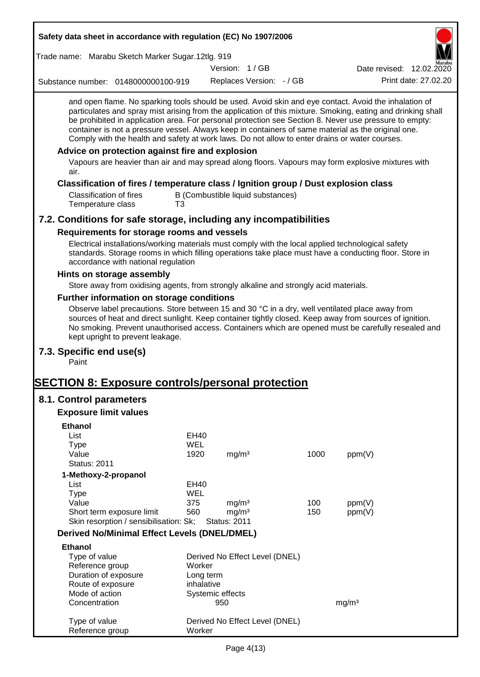| Safety data sheet in accordance with regulation (EC) No 1907/2006                                                                                                                                                                                                                                                                                                                                                                                                                                                                                                                                                                                                                                 |            |                                        |                                   |            |                          |                      |
|---------------------------------------------------------------------------------------------------------------------------------------------------------------------------------------------------------------------------------------------------------------------------------------------------------------------------------------------------------------------------------------------------------------------------------------------------------------------------------------------------------------------------------------------------------------------------------------------------------------------------------------------------------------------------------------------------|------------|----------------------------------------|-----------------------------------|------------|--------------------------|----------------------|
| Trade name: Marabu Sketch Marker Sugar.12tlg. 919                                                                                                                                                                                                                                                                                                                                                                                                                                                                                                                                                                                                                                                 |            |                                        |                                   |            |                          |                      |
|                                                                                                                                                                                                                                                                                                                                                                                                                                                                                                                                                                                                                                                                                                   |            | Version: 1/GB                          |                                   |            | Date revised: 12.02.2020 |                      |
| Substance number: 0148000000100-919                                                                                                                                                                                                                                                                                                                                                                                                                                                                                                                                                                                                                                                               |            |                                        | Replaces Version: - / GB          |            |                          | Print date: 27,02.20 |
| and open flame. No sparking tools should be used. Avoid skin and eye contact. Avoid the inhalation of<br>particulates and spray mist arising from the application of this mixture. Smoking, eating and drinking shall<br>be prohibited in application area. For personal protection see Section 8. Never use pressure to empty:<br>container is not a pressure vessel. Always keep in containers of same material as the original one.<br>Comply with the health and safety at work laws. Do not allow to enter drains or water courses.<br>Advice on protection against fire and explosion<br>Vapours are heavier than air and may spread along floors. Vapours may form explosive mixtures with |            |                                        |                                   |            |                          |                      |
| air.                                                                                                                                                                                                                                                                                                                                                                                                                                                                                                                                                                                                                                                                                              |            |                                        |                                   |            |                          |                      |
| Classification of fires / temperature class / Ignition group / Dust explosion class<br><b>Classification of fires</b><br>Temperature class                                                                                                                                                                                                                                                                                                                                                                                                                                                                                                                                                        | T3         |                                        | B (Combustible liquid substances) |            |                          |                      |
| 7.2. Conditions for safe storage, including any incompatibilities                                                                                                                                                                                                                                                                                                                                                                                                                                                                                                                                                                                                                                 |            |                                        |                                   |            |                          |                      |
| Requirements for storage rooms and vessels                                                                                                                                                                                                                                                                                                                                                                                                                                                                                                                                                                                                                                                        |            |                                        |                                   |            |                          |                      |
| Electrical installations/working materials must comply with the local applied technological safety<br>standards. Storage rooms in which filling operations take place must have a conducting floor. Store in<br>accordance with national regulation                                                                                                                                                                                                                                                                                                                                                                                                                                               |            |                                        |                                   |            |                          |                      |
| Hints on storage assembly                                                                                                                                                                                                                                                                                                                                                                                                                                                                                                                                                                                                                                                                         |            |                                        |                                   |            |                          |                      |
| Store away from oxidising agents, from strongly alkaline and strongly acid materials.                                                                                                                                                                                                                                                                                                                                                                                                                                                                                                                                                                                                             |            |                                        |                                   |            |                          |                      |
| Further information on storage conditions                                                                                                                                                                                                                                                                                                                                                                                                                                                                                                                                                                                                                                                         |            |                                        |                                   |            |                          |                      |
| Observe label precautions. Store between 15 and 30 °C in a dry, well ventilated place away from<br>sources of heat and direct sunlight. Keep container tightly closed. Keep away from sources of ignition.<br>No smoking. Prevent unauthorised access. Containers which are opened must be carefully resealed and<br>kept upright to prevent leakage.                                                                                                                                                                                                                                                                                                                                             |            |                                        |                                   |            |                          |                      |
| 7.3. Specific end use(s)<br>Paint                                                                                                                                                                                                                                                                                                                                                                                                                                                                                                                                                                                                                                                                 |            |                                        |                                   |            |                          |                      |
| <b>SECTION 8: Exposure controls/personal protection</b>                                                                                                                                                                                                                                                                                                                                                                                                                                                                                                                                                                                                                                           |            |                                        |                                   |            |                          |                      |
| 8.1. Control parameters                                                                                                                                                                                                                                                                                                                                                                                                                                                                                                                                                                                                                                                                           |            |                                        |                                   |            |                          |                      |
| <b>Exposure limit values</b>                                                                                                                                                                                                                                                                                                                                                                                                                                                                                                                                                                                                                                                                      |            |                                        |                                   |            |                          |                      |
|                                                                                                                                                                                                                                                                                                                                                                                                                                                                                                                                                                                                                                                                                                   |            |                                        |                                   |            |                          |                      |
| <b>Ethanol</b><br>List                                                                                                                                                                                                                                                                                                                                                                                                                                                                                                                                                                                                                                                                            | EH40       |                                        |                                   |            |                          |                      |
| <b>Type</b>                                                                                                                                                                                                                                                                                                                                                                                                                                                                                                                                                                                                                                                                                       | <b>WEL</b> |                                        |                                   |            |                          |                      |
| Value                                                                                                                                                                                                                                                                                                                                                                                                                                                                                                                                                                                                                                                                                             | 1920       | mg/m <sup>3</sup>                      |                                   | 1000       | ppm(V)                   |                      |
| <b>Status: 2011</b>                                                                                                                                                                                                                                                                                                                                                                                                                                                                                                                                                                                                                                                                               |            |                                        |                                   |            |                          |                      |
| 1-Methoxy-2-propanol                                                                                                                                                                                                                                                                                                                                                                                                                                                                                                                                                                                                                                                                              |            |                                        |                                   |            |                          |                      |
| List                                                                                                                                                                                                                                                                                                                                                                                                                                                                                                                                                                                                                                                                                              | EH40       |                                        |                                   |            |                          |                      |
| <b>Type</b>                                                                                                                                                                                                                                                                                                                                                                                                                                                                                                                                                                                                                                                                                       | <b>WEL</b> |                                        |                                   |            |                          |                      |
| Value<br>Short term exposure limit                                                                                                                                                                                                                                                                                                                                                                                                                                                                                                                                                                                                                                                                | 375<br>560 | mg/m <sup>3</sup><br>mg/m <sup>3</sup> |                                   | 100<br>150 | ppm(V)<br>ppm(V)         |                      |
| Skin resorption / sensibilisation: Sk;                                                                                                                                                                                                                                                                                                                                                                                                                                                                                                                                                                                                                                                            |            | <b>Status: 2011</b>                    |                                   |            |                          |                      |
| <b>Derived No/Minimal Effect Levels (DNEL/DMEL)</b>                                                                                                                                                                                                                                                                                                                                                                                                                                                                                                                                                                                                                                               |            |                                        |                                   |            |                          |                      |
| <b>Ethanol</b>                                                                                                                                                                                                                                                                                                                                                                                                                                                                                                                                                                                                                                                                                    |            |                                        |                                   |            |                          |                      |
| Type of value                                                                                                                                                                                                                                                                                                                                                                                                                                                                                                                                                                                                                                                                                     |            |                                        | Derived No Effect Level (DNEL)    |            |                          |                      |
| Reference group                                                                                                                                                                                                                                                                                                                                                                                                                                                                                                                                                                                                                                                                                   | Worker     |                                        |                                   |            |                          |                      |
| Duration of exposure                                                                                                                                                                                                                                                                                                                                                                                                                                                                                                                                                                                                                                                                              |            | Long term                              |                                   |            |                          |                      |
| Route of exposure                                                                                                                                                                                                                                                                                                                                                                                                                                                                                                                                                                                                                                                                                 |            | inhalative                             |                                   |            |                          |                      |
| Mode of action                                                                                                                                                                                                                                                                                                                                                                                                                                                                                                                                                                                                                                                                                    |            | Systemic effects                       |                                   |            |                          |                      |
| Concentration                                                                                                                                                                                                                                                                                                                                                                                                                                                                                                                                                                                                                                                                                     |            | 950                                    |                                   |            | mg/m <sup>3</sup>        |                      |
| Type of value<br>Reference group                                                                                                                                                                                                                                                                                                                                                                                                                                                                                                                                                                                                                                                                  | Worker     |                                        | Derived No Effect Level (DNEL)    |            |                          |                      |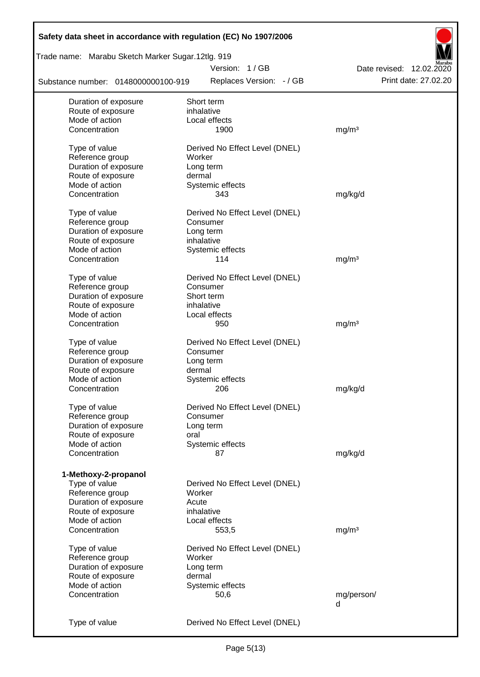| Safety data sheet in accordance with regulation (EC) No 1907/2006 |                                |                          |
|-------------------------------------------------------------------|--------------------------------|--------------------------|
| Trade name: Marabu Sketch Marker Sugar.12tlg. 919                 |                                |                          |
|                                                                   | Version: 1/GB                  | Date revised: 12.02.2020 |
| Substance number: 0148000000100-919                               | Replaces Version: - / GB       | Print date: 27.02.20     |
| Duration of exposure                                              | Short term                     |                          |
| Route of exposure                                                 | inhalative                     |                          |
| Mode of action                                                    | Local effects                  |                          |
| Concentration                                                     | 1900                           | mg/m <sup>3</sup>        |
| Type of value                                                     | Derived No Effect Level (DNEL) |                          |
| Reference group                                                   | Worker                         |                          |
| Duration of exposure                                              | Long term                      |                          |
| Route of exposure                                                 | dermal                         |                          |
| Mode of action                                                    | Systemic effects               |                          |
| Concentration                                                     | 343                            | mg/kg/d                  |
| Type of value                                                     | Derived No Effect Level (DNEL) |                          |
| Reference group                                                   | Consumer                       |                          |
| Duration of exposure                                              | Long term                      |                          |
| Route of exposure                                                 | inhalative                     |                          |
| Mode of action                                                    | Systemic effects               |                          |
| Concentration                                                     | 114                            | mg/m <sup>3</sup>        |
| Type of value                                                     | Derived No Effect Level (DNEL) |                          |
| Reference group                                                   | Consumer                       |                          |
| Duration of exposure                                              | Short term                     |                          |
| Route of exposure                                                 | inhalative                     |                          |
| Mode of action                                                    | Local effects                  |                          |
| Concentration                                                     | 950                            | mg/m <sup>3</sup>        |
| Type of value                                                     | Derived No Effect Level (DNEL) |                          |
| Reference group                                                   | Consumer                       |                          |
| Duration of exposure                                              | Long term                      |                          |
| Route of exposure                                                 | dermal                         |                          |
| Mode of action                                                    | Systemic effects               |                          |
| Concentration                                                     | 206                            | mg/kg/d                  |
| Type of value                                                     | Derived No Effect Level (DNEL) |                          |
| Reference group                                                   | Consumer                       |                          |
| Duration of exposure                                              | Long term                      |                          |
| Route of exposure                                                 | oral                           |                          |
| Mode of action                                                    | Systemic effects               |                          |
| Concentration                                                     | 87                             | mg/kg/d                  |
|                                                                   |                                |                          |
| 1-Methoxy-2-propanol                                              |                                |                          |
| Type of value                                                     | Derived No Effect Level (DNEL) |                          |
| Reference group                                                   | Worker                         |                          |
| Duration of exposure                                              | Acute                          |                          |
| Route of exposure                                                 | inhalative                     |                          |
| Mode of action                                                    | Local effects                  |                          |
| Concentration                                                     | 553,5                          | mg/m <sup>3</sup>        |
| Type of value                                                     | Derived No Effect Level (DNEL) |                          |
| Reference group                                                   | Worker                         |                          |
| Duration of exposure                                              | Long term                      |                          |
| Route of exposure                                                 | dermal                         |                          |
| Mode of action                                                    | Systemic effects               |                          |
| Concentration                                                     | 50,6                           | mg/person/               |
|                                                                   |                                | d                        |
| Type of value                                                     | Derived No Effect Level (DNEL) |                          |
|                                                                   |                                |                          |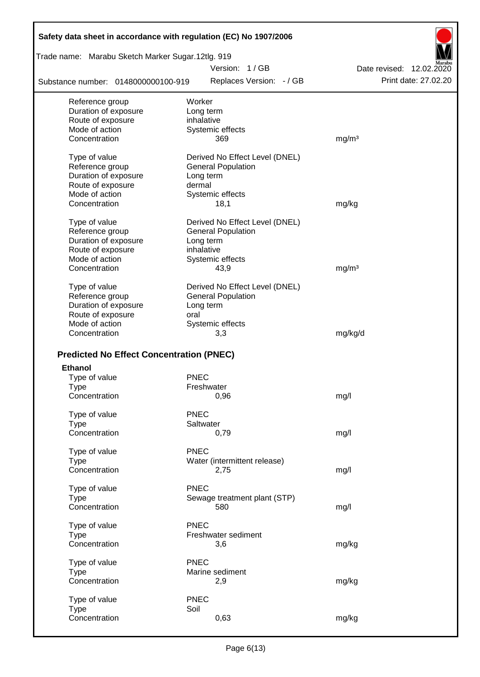| Safety data sheet in accordance with regulation (EC) No 1907/2006 |                                           |                                                  |
|-------------------------------------------------------------------|-------------------------------------------|--------------------------------------------------|
| Trade name: Marabu Sketch Marker Sugar.12tlg. 919                 |                                           |                                                  |
| Substance number: 0148000000100-919                               | Version: 1/GB<br>Replaces Version: - / GB | Date revised: 12.02.2020<br>Print date: 27,02.20 |
|                                                                   | Worker                                    |                                                  |
| Reference group<br>Duration of exposure                           | Long term                                 |                                                  |
| Route of exposure                                                 | inhalative                                |                                                  |
| Mode of action                                                    | Systemic effects                          |                                                  |
| Concentration                                                     | 369                                       | mg/m <sup>3</sup>                                |
| Type of value                                                     | Derived No Effect Level (DNEL)            |                                                  |
| Reference group                                                   | <b>General Population</b>                 |                                                  |
| Duration of exposure                                              | Long term                                 |                                                  |
| Route of exposure                                                 | dermal                                    |                                                  |
| Mode of action                                                    | Systemic effects                          |                                                  |
| Concentration                                                     | 18,1                                      | mg/kg                                            |
| Type of value                                                     | Derived No Effect Level (DNEL)            |                                                  |
| Reference group                                                   | <b>General Population</b>                 |                                                  |
| Duration of exposure                                              | Long term                                 |                                                  |
| Route of exposure                                                 | inhalative                                |                                                  |
| Mode of action                                                    | Systemic effects                          |                                                  |
| Concentration                                                     | 43,9                                      | mg/m <sup>3</sup>                                |
| Type of value                                                     | Derived No Effect Level (DNEL)            |                                                  |
| Reference group                                                   | <b>General Population</b>                 |                                                  |
| Duration of exposure                                              | Long term                                 |                                                  |
| Route of exposure                                                 | oral                                      |                                                  |
| Mode of action                                                    | Systemic effects                          |                                                  |
| Concentration                                                     | 3,3                                       | mg/kg/d                                          |
| <b>Predicted No Effect Concentration (PNEC)</b>                   |                                           |                                                  |
| <b>Ethanol</b>                                                    |                                           |                                                  |
| Type of value                                                     | <b>PNEC</b>                               |                                                  |
| Type                                                              | Freshwater                                |                                                  |
| Concentration                                                     | 0,96                                      | mg/l                                             |
| Type of value                                                     | <b>PNEC</b>                               |                                                  |
| <b>Type</b>                                                       | Saltwater                                 |                                                  |
| Concentration                                                     | 0,79                                      | mg/l                                             |
| Type of value                                                     | <b>PNEC</b>                               |                                                  |
| <b>Type</b>                                                       | Water (intermittent release)              |                                                  |
| Concentration                                                     | 2,75                                      | mg/l                                             |
| Type of value                                                     | <b>PNEC</b>                               |                                                  |
| <b>Type</b>                                                       | Sewage treatment plant (STP)              |                                                  |
| Concentration                                                     | 580                                       | mg/l                                             |
| Type of value                                                     | <b>PNEC</b>                               |                                                  |
| <b>Type</b>                                                       | Freshwater sediment                       |                                                  |
| Concentration                                                     | 3,6                                       | mg/kg                                            |
| Type of value                                                     | <b>PNEC</b>                               |                                                  |
| <b>Type</b>                                                       | Marine sediment                           |                                                  |
| Concentration                                                     | 2,9                                       | mg/kg                                            |
| Type of value                                                     | <b>PNEC</b>                               |                                                  |
| <b>Type</b>                                                       | Soil                                      |                                                  |
| Concentration                                                     | 0,63                                      | mg/kg                                            |
|                                                                   |                                           |                                                  |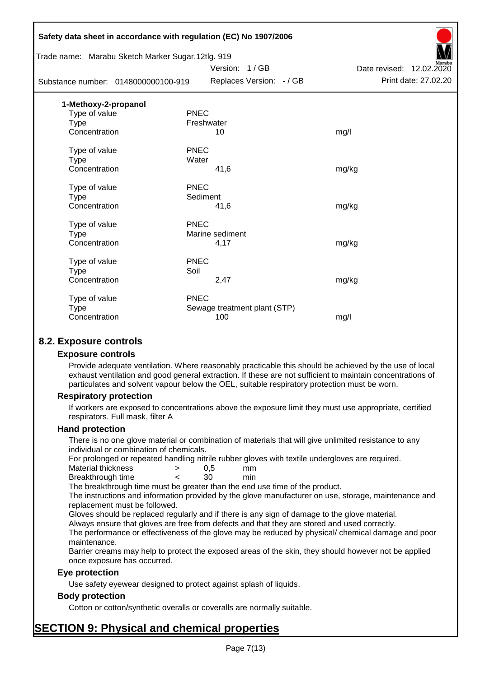| Safety data sheet in accordance with regulation (EC) No 1907/2006 |             |                              |                          |
|-------------------------------------------------------------------|-------------|------------------------------|--------------------------|
| Trade name: Marabu Sketch Marker Sugar.12tlg. 919                 |             | Version: 1/GB                | Date revised: 12.02.2020 |
| Substance number: 0148000000100-919                               |             | Replaces Version: - / GB     | Print date: 27.02.20     |
| 1-Methoxy-2-propanol                                              |             |                              |                          |
| Type of value                                                     | <b>PNEC</b> |                              |                          |
| <b>Type</b>                                                       | Freshwater  |                              |                          |
| Concentration                                                     |             | 10                           | mg/l                     |
| Type of value                                                     | <b>PNEC</b> |                              |                          |
| <b>Type</b>                                                       | Water       |                              |                          |
| Concentration                                                     |             | 41,6                         | mg/kg                    |
| Type of value                                                     | <b>PNEC</b> |                              |                          |
| Type                                                              | Sediment    |                              |                          |
| Concentration                                                     |             | 41,6                         | mg/kg                    |
| Type of value                                                     | <b>PNEC</b> |                              |                          |
| <b>Type</b>                                                       |             | Marine sediment              |                          |
| Concentration                                                     |             | 4,17                         | mg/kg                    |
| Type of value                                                     | <b>PNEC</b> |                              |                          |
| Type                                                              | Soil        |                              |                          |
| Concentration                                                     |             | 2,47                         | mg/kg                    |
| Type of value                                                     | <b>PNEC</b> |                              |                          |
| <b>Type</b>                                                       |             | Sewage treatment plant (STP) |                          |
| Concentration                                                     |             | 100                          | mg/l                     |
|                                                                   |             |                              |                          |

# **8.2. Exposure controls**

#### **Exposure controls**

Provide adequate ventilation. Where reasonably practicable this should be achieved by the use of local exhaust ventilation and good general extraction. If these are not sufficient to maintain concentrations of particulates and solvent vapour below the OEL, suitable respiratory protection must be worn.

#### **Respiratory protection**

If workers are exposed to concentrations above the exposure limit they must use appropriate, certified respirators. Full mask, filter A

#### **Hand protection**

There is no one glove material or combination of materials that will give unlimited resistance to any individual or combination of chemicals.

For prolonged or repeated handling nitrile rubber gloves with textile undergloves are required.

| Material thickness | 0.5 | mm  |
|--------------------|-----|-----|
| Breakthrough time  | 30  | min |

The breakthrough time must be greater than the end use time of the product.

The instructions and information provided by the glove manufacturer on use, storage, maintenance and replacement must be followed.

Gloves should be replaced regularly and if there is any sign of damage to the glove material.

Always ensure that gloves are free from defects and that they are stored and used correctly.

The performance or effectiveness of the glove may be reduced by physical/ chemical damage and poor maintenance.

Barrier creams may help to protect the exposed areas of the skin, they should however not be applied once exposure has occurred.

#### **Eye protection**

Use safety eyewear designed to protect against splash of liquids.

## **Body protection**

Cotton or cotton/synthetic overalls or coveralls are normally suitable.

# **SECTION 9: Physical and chemical properties**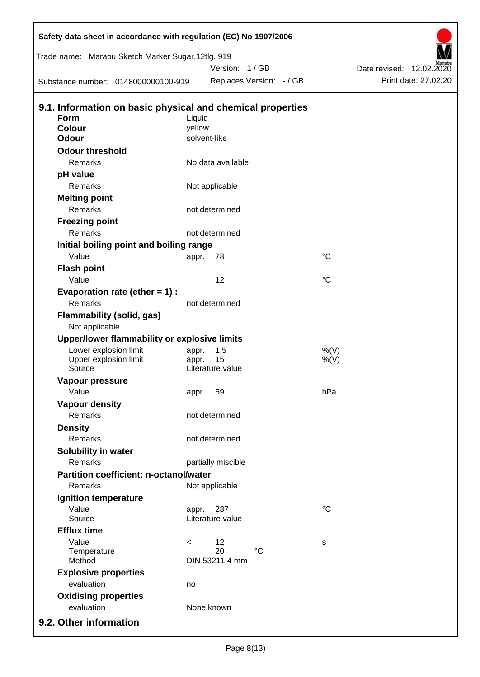| Safety data sheet in accordance with regulation (EC) No 1907/2006 |         |                    |                          |                 |                          |
|-------------------------------------------------------------------|---------|--------------------|--------------------------|-----------------|--------------------------|
| Trade name: Marabu Sketch Marker Sugar.12tlg. 919                 |         |                    |                          |                 |                          |
|                                                                   |         | Version: 1/GB      |                          |                 | Date revised: 12.02.2020 |
| Substance number: 0148000000100-919                               |         |                    | Replaces Version: - / GB |                 | Print date: 27.02.20     |
| 9.1. Information on basic physical and chemical properties        |         |                    |                          |                 |                          |
| <b>Form</b>                                                       | Liquid  |                    |                          |                 |                          |
| <b>Colour</b>                                                     | yellow  |                    |                          |                 |                          |
| <b>Odour</b>                                                      |         | solvent-like       |                          |                 |                          |
| <b>Odour threshold</b>                                            |         |                    |                          |                 |                          |
| Remarks                                                           |         | No data available  |                          |                 |                          |
| pH value                                                          |         |                    |                          |                 |                          |
| Remarks                                                           |         | Not applicable     |                          |                 |                          |
| <b>Melting point</b>                                              |         |                    |                          |                 |                          |
| Remarks                                                           |         | not determined     |                          |                 |                          |
| <b>Freezing point</b>                                             |         |                    |                          |                 |                          |
| Remarks                                                           |         | not determined     |                          |                 |                          |
| Initial boiling point and boiling range                           |         |                    |                          |                 |                          |
| Value                                                             | appr.   | 78                 |                          | $^{\circ}C$     |                          |
| <b>Flash point</b>                                                |         |                    |                          |                 |                          |
| Value                                                             |         | 12                 |                          | $^{\circ}C$     |                          |
| Evaporation rate (ether $= 1$ ) :                                 |         |                    |                          |                 |                          |
| Remarks                                                           |         | not determined     |                          |                 |                          |
| <b>Flammability (solid, gas)</b>                                  |         |                    |                          |                 |                          |
| Not applicable                                                    |         |                    |                          |                 |                          |
| Upper/lower flammability or explosive limits                      |         |                    |                          |                 |                          |
| Lower explosion limit                                             | appr.   | 1,5                |                          | %(V)            |                          |
| Upper explosion limit                                             | appr.   | 15                 |                          | $%$ (V)         |                          |
| Source                                                            |         | Literature value   |                          |                 |                          |
| Vapour pressure                                                   |         |                    |                          |                 |                          |
| Value                                                             |         | appr. 59           |                          | hPa             |                          |
| <b>Vapour density</b>                                             |         |                    |                          |                 |                          |
| <b>Remarks</b>                                                    |         | not determined     |                          |                 |                          |
| <b>Density</b>                                                    |         |                    |                          |                 |                          |
| Remarks                                                           |         | not determined     |                          |                 |                          |
| Solubility in water                                               |         |                    |                          |                 |                          |
| Remarks                                                           |         | partially miscible |                          |                 |                          |
| <b>Partition coefficient: n-octanol/water</b>                     |         |                    |                          |                 |                          |
| Remarks                                                           |         | Not applicable     |                          |                 |                          |
| Ignition temperature                                              |         |                    |                          |                 |                          |
| Value                                                             | appr.   | 287                |                          | $\rm ^{\circ}C$ |                          |
| Source                                                            |         | Literature value   |                          |                 |                          |
| <b>Efflux time</b>                                                |         |                    |                          |                 |                          |
| Value<br>Temperature                                              | $\,<\,$ | 12<br>20           | $^{\circ}C$              | s               |                          |
| Method                                                            |         | DIN 53211 4 mm     |                          |                 |                          |
| <b>Explosive properties</b>                                       |         |                    |                          |                 |                          |
| evaluation                                                        | no      |                    |                          |                 |                          |
| <b>Oxidising properties</b>                                       |         |                    |                          |                 |                          |
| evaluation                                                        |         | None known         |                          |                 |                          |
| 9.2. Other information                                            |         |                    |                          |                 |                          |
|                                                                   |         |                    |                          |                 |                          |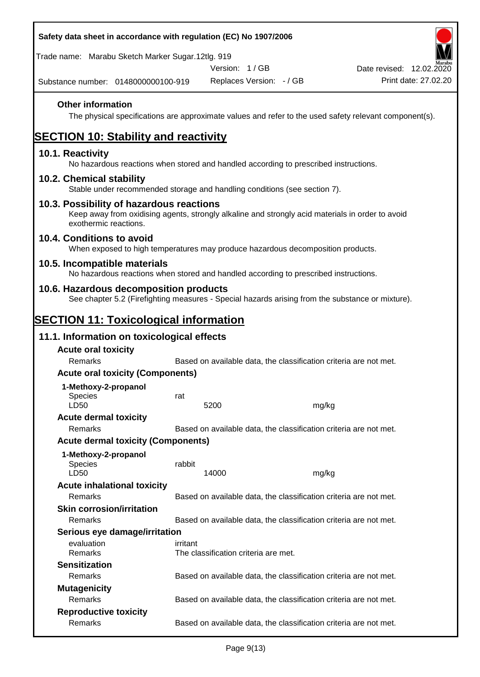| Safety data sheet in accordance with regulation (EC) No 1907/2006                                                                                                     |          |                                      |                                                                   |                                                                                                        |
|-----------------------------------------------------------------------------------------------------------------------------------------------------------------------|----------|--------------------------------------|-------------------------------------------------------------------|--------------------------------------------------------------------------------------------------------|
| Trade name: Marabu Sketch Marker Sugar.12tlg. 919                                                                                                                     |          |                                      |                                                                   |                                                                                                        |
|                                                                                                                                                                       |          | Version: 1/GB                        |                                                                   | Date revised: 12.02.2020                                                                               |
| Substance number: 0148000000100-919                                                                                                                                   |          |                                      | Replaces Version: - / GB                                          | Print date: 27,02.20                                                                                   |
| <b>Other information</b>                                                                                                                                              |          |                                      |                                                                   | The physical specifications are approximate values and refer to the used safety relevant component(s). |
| <b>SECTION 10: Stability and reactivity</b>                                                                                                                           |          |                                      |                                                                   |                                                                                                        |
| 10.1. Reactivity<br>No hazardous reactions when stored and handled according to prescribed instructions.                                                              |          |                                      |                                                                   |                                                                                                        |
| 10.2. Chemical stability<br>Stable under recommended storage and handling conditions (see section 7).                                                                 |          |                                      |                                                                   |                                                                                                        |
| 10.3. Possibility of hazardous reactions<br>Keep away from oxidising agents, strongly alkaline and strongly acid materials in order to avoid<br>exothermic reactions. |          |                                      |                                                                   |                                                                                                        |
| 10.4. Conditions to avoid<br>When exposed to high temperatures may produce hazardous decomposition products.                                                          |          |                                      |                                                                   |                                                                                                        |
| 10.5. Incompatible materials<br>No hazardous reactions when stored and handled according to prescribed instructions.                                                  |          |                                      |                                                                   |                                                                                                        |
| 10.6. Hazardous decomposition products<br>See chapter 5.2 (Firefighting measures - Special hazards arising from the substance or mixture).                            |          |                                      |                                                                   |                                                                                                        |
| <b>SECTION 11: Toxicological information</b>                                                                                                                          |          |                                      |                                                                   |                                                                                                        |
| 11.1. Information on toxicological effects                                                                                                                            |          |                                      |                                                                   |                                                                                                        |
| <b>Acute oral toxicity</b>                                                                                                                                            |          |                                      |                                                                   |                                                                                                        |
| Remarks                                                                                                                                                               |          |                                      | Based on available data, the classification criteria are not met. |                                                                                                        |
| <b>Acute oral toxicity (Components)</b>                                                                                                                               |          |                                      |                                                                   |                                                                                                        |
| 1-Methoxy-2-propanol                                                                                                                                                  |          |                                      |                                                                   |                                                                                                        |
| <b>Species</b><br>LD50                                                                                                                                                | rat      | 5200                                 | mg/kg                                                             |                                                                                                        |
| <b>Acute dermal toxicity</b>                                                                                                                                          |          |                                      |                                                                   |                                                                                                        |
| Remarks                                                                                                                                                               |          |                                      | Based on available data, the classification criteria are not met. |                                                                                                        |
| <b>Acute dermal toxicity (Components)</b>                                                                                                                             |          |                                      |                                                                   |                                                                                                        |
| 1-Methoxy-2-propanol<br><b>Species</b><br>LD50                                                                                                                        | rabbit   | 14000                                | mg/kg                                                             |                                                                                                        |
| <b>Acute inhalational toxicity</b>                                                                                                                                    |          |                                      |                                                                   |                                                                                                        |
| Remarks                                                                                                                                                               |          |                                      | Based on available data, the classification criteria are not met. |                                                                                                        |
| <b>Skin corrosion/irritation</b>                                                                                                                                      |          |                                      |                                                                   |                                                                                                        |
| Remarks                                                                                                                                                               |          |                                      | Based on available data, the classification criteria are not met. |                                                                                                        |
| Serious eye damage/irritation                                                                                                                                         |          |                                      |                                                                   |                                                                                                        |
| evaluation<br>Remarks                                                                                                                                                 | irritant | The classification criteria are met. |                                                                   |                                                                                                        |
| <b>Sensitization</b>                                                                                                                                                  |          |                                      |                                                                   |                                                                                                        |
| Remarks                                                                                                                                                               |          |                                      | Based on available data, the classification criteria are not met. |                                                                                                        |
| <b>Mutagenicity</b>                                                                                                                                                   |          |                                      |                                                                   |                                                                                                        |
| Remarks                                                                                                                                                               |          |                                      | Based on available data, the classification criteria are not met. |                                                                                                        |
| <b>Reproductive toxicity</b>                                                                                                                                          |          |                                      |                                                                   |                                                                                                        |
| Remarks                                                                                                                                                               |          |                                      | Based on available data, the classification criteria are not met. |                                                                                                        |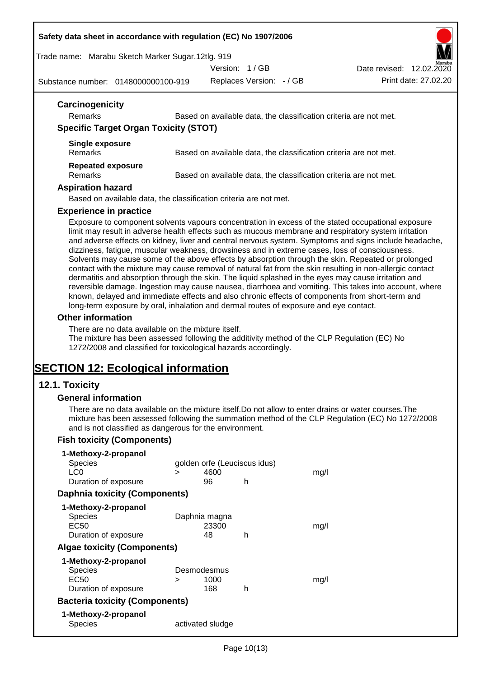#### **Safety data sheet in accordance with regulation (EC) No 1907/2006**

Trade name: Marabu Sketch Marker Sugar.12tlg. 919

Substance number: 0148000000100-919

| Version: 1/GB            | Marabu<br>Date revised: 12.02.2020 |
|--------------------------|------------------------------------|
| Replaces Version: - / GB | Print date: 27.02.20               |

| Carcinogenicity<br>Remarks                   | Based on available data, the classification criteria are not met.                                |
|----------------------------------------------|--------------------------------------------------------------------------------------------------|
| <b>Specific Target Organ Toxicity (STOT)</b> |                                                                                                  |
| Single exposure<br>Remarks                   | Based on available data, the classification criteria are not met.                                |
| <b>Repeated exposure</b><br>Remarks          | Based on available data, the classification criteria are not met.                                |
| <b>Aspiration hazard</b>                     |                                                                                                  |
|                                              | Based on available data, the classification criteria are not met.                                |
| <b>Experience in practice</b>                |                                                                                                  |
|                                              | Exposure to component solvents vapours concentration in excess of the stated occupational exposu |

Exposure to component solvents vapours concentration in excess of the stated occupational exposure limit may result in adverse health effects such as mucous membrane and respiratory system irritation and adverse effects on kidney, liver and central nervous system. Symptoms and signs include headache, dizziness, fatigue, muscular weakness, drowsiness and in extreme cases, loss of consciousness. Solvents may cause some of the above effects by absorption through the skin. Repeated or prolonged contact with the mixture may cause removal of natural fat from the skin resulting in non-allergic contact dermatitis and absorption through the skin. The liquid splashed in the eyes may cause irritation and reversible damage. Ingestion may cause nausea, diarrhoea and vomiting. This takes into account, where known, delayed and immediate effects and also chronic effects of components from short-term and long-term exposure by oral, inhalation and dermal routes of exposure and eye contact.

## **Other information**

There are no data available on the mixture itself.

The mixture has been assessed following the additivity method of the CLP Regulation (EC) No 1272/2008 and classified for toxicological hazards accordingly.

# **SECTION 12: Ecological information**

## **12.1. Toxicity**

#### **General information**

There are no data available on the mixture itself.Do not allow to enter drains or water courses.The mixture has been assessed following the summation method of the CLP Regulation (EC) No 1272/2008 and is not classified as dangerous for the environment.

## **Fish toxicity (Components)**

| 1-Methoxy-2-propanol                  |        |                              |   |      |
|---------------------------------------|--------|------------------------------|---|------|
| <b>Species</b>                        |        | golden orfe (Leuciscus idus) |   |      |
| LC0                                   | $\geq$ | 4600                         |   | mq/l |
| Duration of exposure                  |        | 96                           | h |      |
| <b>Daphnia toxicity (Components)</b>  |        |                              |   |      |
| 1-Methoxy-2-propanol                  |        |                              |   |      |
| Species                               |        | Daphnia magna                |   |      |
| EC50                                  |        | 23300                        |   | mg/l |
| Duration of exposure                  |        | 48                           | h |      |
| <b>Algae toxicity (Components)</b>    |        |                              |   |      |
| 1-Methoxy-2-propanol                  |        |                              |   |      |
| <b>Species</b>                        |        | Desmodesmus                  |   |      |
| EC50                                  | ⋗      | 1000                         |   | mq/l |
| Duration of exposure                  |        | 168                          | h |      |
| <b>Bacteria toxicity (Components)</b> |        |                              |   |      |
| 1-Methoxy-2-propanol                  |        |                              |   |      |
| <b>Species</b>                        |        | activated sludge             |   |      |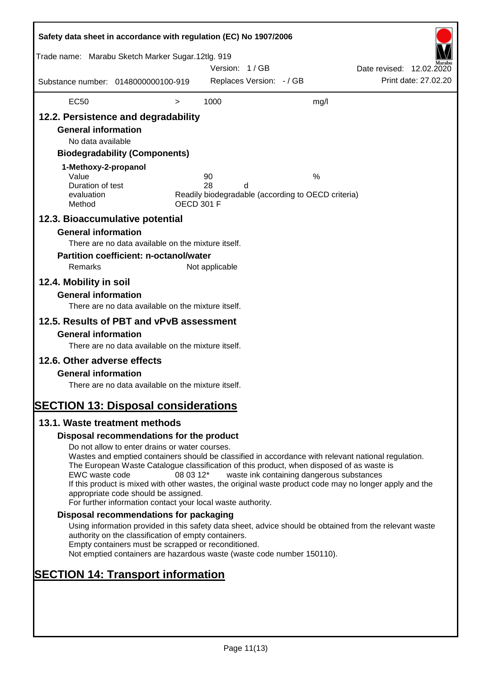| Safety data sheet in accordance with regulation (EC) No 1907/2006                                                                                                                 |                                                                                                                                                                                                                                                                                                                                                                                                                                                                      |                   |                |                          |                                                         |                          |                      |
|-----------------------------------------------------------------------------------------------------------------------------------------------------------------------------------|----------------------------------------------------------------------------------------------------------------------------------------------------------------------------------------------------------------------------------------------------------------------------------------------------------------------------------------------------------------------------------------------------------------------------------------------------------------------|-------------------|----------------|--------------------------|---------------------------------------------------------|--------------------------|----------------------|
| Trade name: Marabu Sketch Marker Sugar.12tlg. 919                                                                                                                                 |                                                                                                                                                                                                                                                                                                                                                                                                                                                                      |                   | Version: 1/GB  |                          |                                                         | Date revised: 12.02.2020 |                      |
| Substance number: 0148000000100-919                                                                                                                                               |                                                                                                                                                                                                                                                                                                                                                                                                                                                                      |                   |                | Replaces Version: - / GB |                                                         |                          | Print date: 27.02.20 |
| <b>EC50</b>                                                                                                                                                                       |                                                                                                                                                                                                                                                                                                                                                                                                                                                                      | $\, > \,$         | 1000           |                          | mg/l                                                    |                          |                      |
| 12.2. Persistence and degradability<br><b>General information</b><br>No data available<br>1-Methoxy-2-propanol<br>Value<br>Duration of test<br>evaluation<br>Method               | <b>Biodegradability (Components)</b>                                                                                                                                                                                                                                                                                                                                                                                                                                 | <b>OECD 301 F</b> | 90<br>28       | d                        | %<br>Readily biodegradable (according to OECD criteria) |                          |                      |
| 12.3. Bioaccumulative potential                                                                                                                                                   |                                                                                                                                                                                                                                                                                                                                                                                                                                                                      |                   |                |                          |                                                         |                          |                      |
| <b>General information</b><br>Remarks<br>12.4. Mobility in soil                                                                                                                   | There are no data available on the mixture itself.<br><b>Partition coefficient: n-octanol/water</b>                                                                                                                                                                                                                                                                                                                                                                  |                   | Not applicable |                          |                                                         |                          |                      |
| <b>General information</b>                                                                                                                                                        | There are no data available on the mixture itself.                                                                                                                                                                                                                                                                                                                                                                                                                   |                   |                |                          |                                                         |                          |                      |
| 12.5. Results of PBT and vPvB assessment<br><b>General information</b><br>12.6. Other adverse effects<br><b>General information</b><br><b>SECTION 13: Disposal considerations</b> | There are no data available on the mixture itself.<br>There are no data available on the mixture itself.                                                                                                                                                                                                                                                                                                                                                             |                   |                |                          |                                                         |                          |                      |
| 13.1. Waste treatment methods                                                                                                                                                     |                                                                                                                                                                                                                                                                                                                                                                                                                                                                      |                   |                |                          |                                                         |                          |                      |
|                                                                                                                                                                                   | Disposal recommendations for the product                                                                                                                                                                                                                                                                                                                                                                                                                             |                   |                |                          |                                                         |                          |                      |
| EWC waste code                                                                                                                                                                    | Do not allow to enter drains or water courses.<br>Wastes and emptied containers should be classified in accordance with relevant national regulation.<br>The European Waste Catalogue classification of this product, when disposed of as waste is<br>If this product is mixed with other wastes, the original waste product code may no longer apply and the<br>appropriate code should be assigned.<br>For further information contact your local waste authority. | 08 03 12*         |                |                          | waste ink containing dangerous substances               |                          |                      |
|                                                                                                                                                                                   | Disposal recommendations for packaging                                                                                                                                                                                                                                                                                                                                                                                                                               |                   |                |                          |                                                         |                          |                      |
|                                                                                                                                                                                   | Using information provided in this safety data sheet, advice should be obtained from the relevant waste<br>authority on the classification of empty containers.<br>Empty containers must be scrapped or reconditioned.<br>Not emptied containers are hazardous waste (waste code number 150110).                                                                                                                                                                     |                   |                |                          |                                                         |                          |                      |
| <b>SECTION 14: Transport information</b>                                                                                                                                          |                                                                                                                                                                                                                                                                                                                                                                                                                                                                      |                   |                |                          |                                                         |                          |                      |
|                                                                                                                                                                                   |                                                                                                                                                                                                                                                                                                                                                                                                                                                                      |                   |                |                          |                                                         |                          |                      |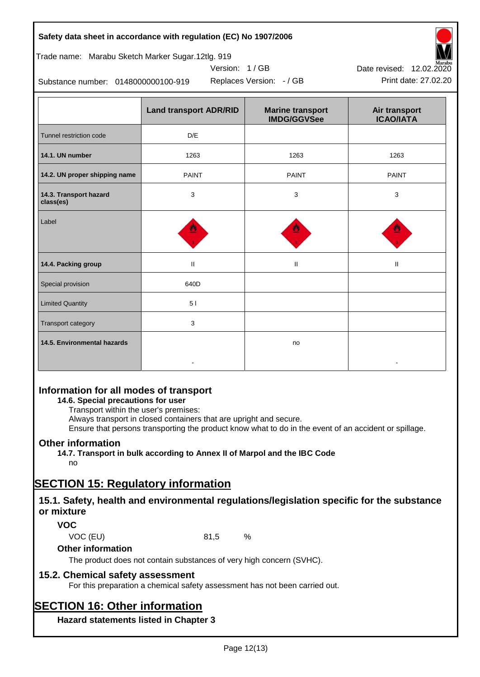## **Safety data sheet in accordance with regulation (EC) No 1907/2006**

# Trade name: Marabu Sketch Marker Sugar.12tlg. 919

Substance number: 0148000000100-919

|                                     | <b>Land transport ADR/RID</b> | <b>Marine transport</b><br><b>IMDG/GGVSee</b> | Air transport<br><b>ICAO/IATA</b> |
|-------------------------------------|-------------------------------|-----------------------------------------------|-----------------------------------|
| Tunnel restriction code             | D/E                           |                                               |                                   |
| 14.1. UN number                     | 1263                          | 1263                                          | 1263                              |
| 14.2. UN proper shipping name       | <b>PAINT</b>                  | <b>PAINT</b>                                  | <b>PAINT</b>                      |
| 14.3. Transport hazard<br>class(es) | 3                             | 3                                             | 3                                 |
| Label                               |                               |                                               |                                   |
| 14.4. Packing group                 | $\mathbf H$                   | $\mathbf{H}$                                  | $\mathbf{H}$                      |
| Special provision                   | 640D                          |                                               |                                   |
| <b>Limited Quantity</b>             | 51                            |                                               |                                   |
| Transport category                  | 3                             |                                               |                                   |
| 14.5. Environmental hazards         |                               | no                                            |                                   |

Version: 1 / GB

# **Information for all modes of transport**

## **14.6. Special precautions for user**

Transport within the user's premises:

Always transport in closed containers that are upright and secure.

Ensure that persons transporting the product know what to do in the event of an accident or spillage.

# **Other information**

**14.7. Transport in bulk according to Annex II of Marpol and the IBC Code** no

# **SECTION 15: Regulatory information**

# **15.1. Safety, health and environmental regulations/legislation specific for the substance or mixture**

# **VOC**

VOC (EU) 81,5 %

## **Other information**

The product does not contain substances of very high concern (SVHC).

# **15.2. Chemical safety assessment**

For this preparation a chemical safety assessment has not been carried out.

# **SECTION 16: Other information**

**Hazard statements listed in Chapter 3**



Replaces Version: - / GB Print date: 27.02.20 Date revised: 12.02.2020